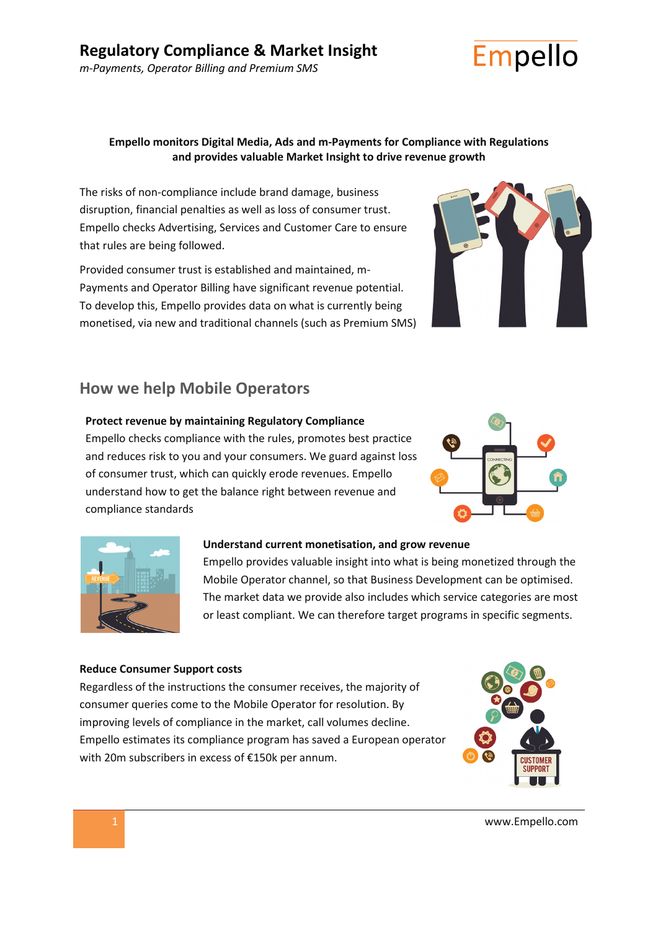

## **Empello monitors Digital Media, Ads and m-Payments for Compliance with Regulations and provides valuable Market Insight to drive revenue growth**

The risks of non-compliance include brand damage, business disruption, financial penalties as well as loss of consumer trust. Empello checks Advertising, Services and Customer Care to ensure that rules are being followed.

Provided consumer trust is established and maintained, m-Payments and Operator Billing have significant revenue potential. To develop this, Empello provides data on what is currently being monetised, via new and traditional channels (such as Premium SMS)



# **How we help Mobile Operators**

### **Protect revenue by maintaining Regulatory Compliance**

Empello checks compliance with the rules, promotes best practice and reduces risk to you and your consumers. We guard against loss of consumer trust, which can quickly erode revenues. Empello understand how to get the balance right between revenue and compliance standards





#### **Understand current monetisation, and grow revenue**

Empello provides valuable insight into what is being monetized through the Mobile Operator channel, so that Business Development can be optimised. The market data we provide also includes which service categories are most or least compliant. We can therefore target programs in specific segments.

#### **Reduce Consumer Support costs**

Regardless of the instructions the consumer receives, the majority of consumer queries come to the Mobile Operator for resolution. By improving levels of compliance in the market, call volumes decline. Empello estimates its compliance program has saved a European operator with 20m subscribers in excess of €150k per annum.